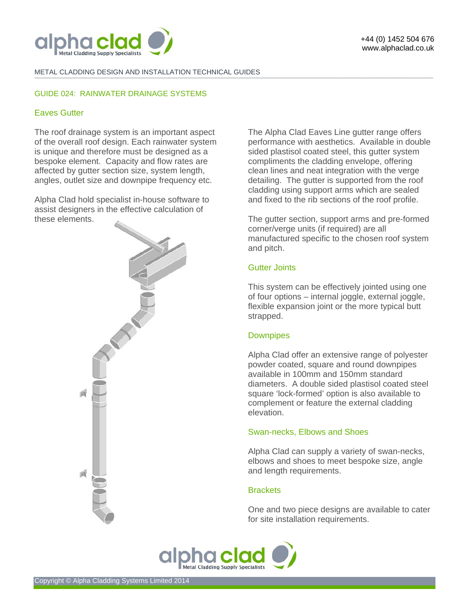

### METAL CLADDING DESIGN AND INSTALLATION TECHNICAL GUIDES

### GUIDE 024: RAINWATER DRAINAGE SYSTEMS

# Eaves Gutter

The roof drainage system is an important aspect of the overall roof design. Each rainwater system is unique and therefore must be designed as a bespoke element. Capacity and flow rates are affected by gutter section size, system length, angles, outlet size and downpipe frequency etc.

Alpha Clad hold specialist in-house software to assist designers in the effective calculation of these elements.



The Alpha Clad Eaves Line gutter range offers performance with aesthetics. Available in double sided plastisol coated steel, this gutter system compliments the cladding envelope, offering clean lines and neat integration with the verge detailing. The gutter is supported from the roof cladding using support arms which are sealed and fixed to the rib sections of the roof profile.

The gutter section, support arms and pre-formed corner/verge units (if required) are all manufactured specific to the chosen roof system and pitch.

# Gutter Joints

**-------------------------------------------------------------------------------------------------------------------------------------------------------------------------------------------------------------------------------------------------------------------------------------------------------------------------------------------------------------------------------------------------------** 

This system can be effectively jointed using one of four options – internal joggle, external joggle, flexible expansion joint or the more typical butt strapped.

## **Downpipes**

Alpha Clad offer an extensive range of polyester powder coated, square and round downpipes available in 100mm and 150mm standard diameters. A double sided plastisol coated steel square 'lock-formed' option is also available to complement or feature the external cladding elevation.

## Swan-necks, Elbows and Shoes

Alpha Clad can supply a variety of swan-necks, elbows and shoes to meet bespoke size, angle and length requirements.

## **Brackets**

One and two piece designs are available to cater for site installation requirements.

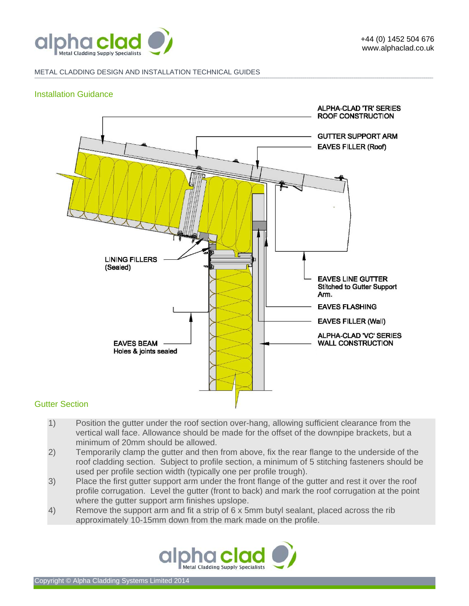

#### METAL CLADDING DESIGN AND INSTALLATION TECHNICAL GUIDES **-------------------------------------------------------------------------------------------------------------------------------------------------------------------------------------------------------------------------------------------------------------------------------------------------------------------------------------------------------------------------------------------------------**

# Installation Guidance



# Gutter Section

- 1) Position the gutter under the roof section over-hang, allowing sufficient clearance from the vertical wall face. Allowance should be made for the offset of the downpipe brackets, but a minimum of 20mm should be allowed.
- 2) Temporarily clamp the gutter and then from above, fix the rear flange to the underside of the roof cladding section. Subject to profile section, a minimum of 5 stitching fasteners should be used per profile section width (typically one per profile trough).
- 3) Place the first gutter support arm under the front flange of the gutter and rest it over the roof profile corrugation. Level the gutter (front to back) and mark the roof corrugation at the point where the gutter support arm finishes upslope.
- 4) Remove the support arm and fit a strip of 6 x 5mm butyl sealant, placed across the rib approximately 10-15mm down from the mark made on the profile.

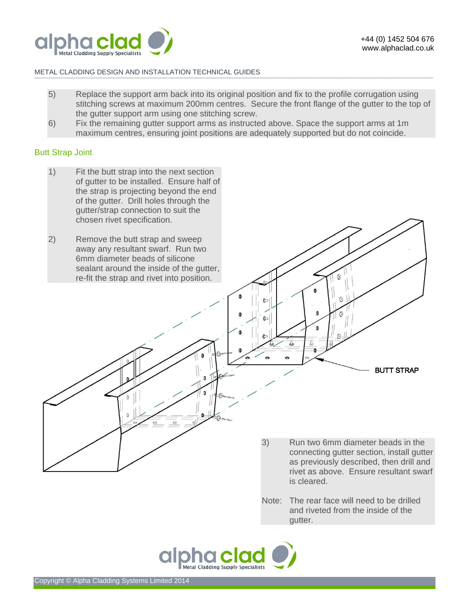

## METAL CLADDING DESIGN AND INSTALLATION TECHNICAL GUIDES

5) Replace the support arm back into its original position and fix to the profile corrugation using stitching screws at maximum 200mm centres. Secure the front flange of the gutter to the top of the gutter support arm using one stitching screw.

**-------------------------------------------------------------------------------------------------------------------------------------------------------------------------------------------------------------------------------------------------------------------------------------------------------------------------------------------------------------------------------------------------------** 

6) Fix the remaining gutter support arms as instructed above. Space the support arms at 1m maximum centres, ensuring joint positions are adequately supported but do not coincide.

## Butt Strap Joint

- 1) Fit the butt strap into the next section of gutter to be installed. Ensure half of the strap is projecting beyond the end of the gutter. Drill holes through the gutter/strap connection to suit the chosen rivet specification.
- 2) Remove the butt strap and sweep away any resultant swarf. Run two 6mm diameter beads of silicone sealant around the inside of the gutter, re-fit the strap and rivet into position.

⊙ Ō 0 0  $\epsilon$  $\theta$  $\odot$ **R**  $\circ$  $\mathbb{P}$ Ū **BUTT STRAP**  $\Omega$  $\Omega$  $\circ$ 3) Run two 6mm diameter beads in the connecting gutter section, install gutter as previously described, then drill and rivet as above. Ensure resultant swarf

> Note: The rear face will need to be drilled and riveted from the inside of the gutter.

is cleared.

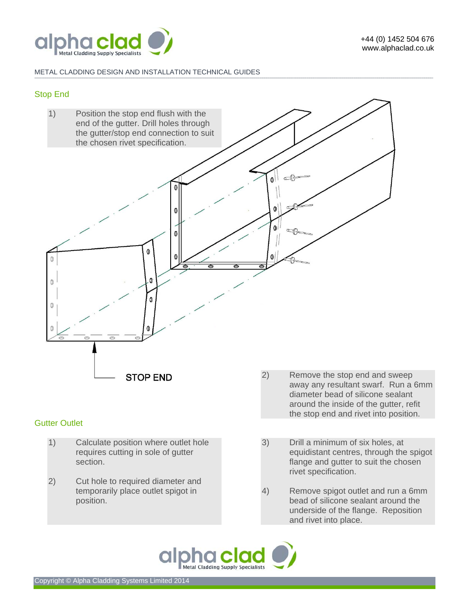

#### METAL CLADDING DESIGN AND INSTALLATION TECHNICAL GUIDES **-------------------------------------------------------------------------------------------------------------------------------------------------------------------------------------------------------------------------------------------------------------------------------------------------------------------------------------------------------------------------------------------------------**

# Stop End



# Gutter Outlet

- 1) Calculate position where outlet hole requires cutting in sole of gutter section.
- 2) Cut hole to required diameter and temporarily place outlet spigot in position.
- 2) Remove the stop end and sweep away any resultant swarf. Run a 6mm diameter bead of silicone sealant around the inside of the gutter, refit the stop end and rivet into position.
- 3) Drill a minimum of six holes, at equidistant centres, through the spigot flange and gutter to suit the chosen rivet specification.
- 4) Remove spigot outlet and run a 6mm bead of silicone sealant around the underside of the flange. Reposition and rivet into place.